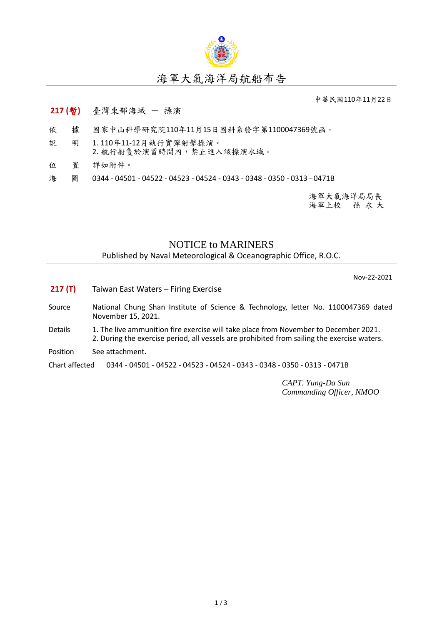

中華民國110年11月22日

## **217 (**暫**)** 臺灣東部海域 - 操演

- 依 據 國家中山科學研究院110年11月15日國科系發字第1100047369號函。
- 說 明 1. 110年11-12月執行實彈射擊操演。 2. 航行船隻於演習時間內,禁止進入該操演水域。
- 位 置 詳如附件。
- 海 圖 0344 04501 04522 04523 04524 0343 0348 0350 0313 0471B

海軍大氣海洋局局長 海軍上校 孫 永 大

## NOTICE to MARINERS

Published by Naval Meteorological & Oceanographic Office, R.O.C.

Nov-22-2021

- **217 (T)** Taiwan East Waters Firing Exercise
- Source National Chung Shan Institute of Science & Technology, letter No. 1100047369 dated November 15, 2021.
- Details 1. The live ammunition fire exercise will take place from November to December 2021. 2. During the exercise period, all vessels are prohibited from sailing the exercise waters.
- Position See attachment.

Chart affected 0344 - 04501 - 04522 - 04523 - 04524 - 0343 - 0348 - 0350 - 0313 - 0471B

*CAPT. Yung-Da Sun Commanding Officer, NMOO*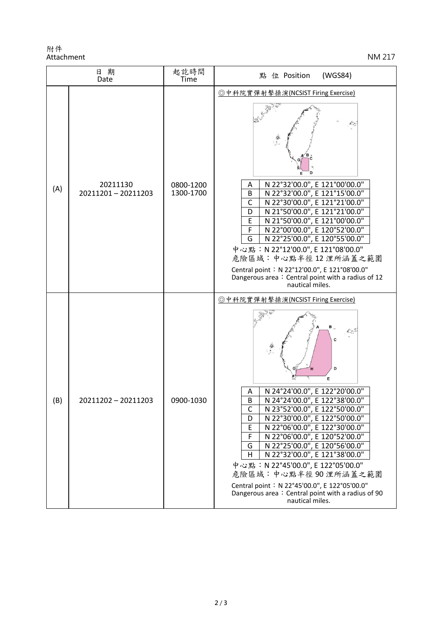附件 Attachment NM 217

| 日期<br>Date |                               | 起訖時間<br>Time           | 點 位 Position<br>(WGS84)                                                                                                                                                                                                                                                                                                                                                                                                                                                                                                                                           |
|------------|-------------------------------|------------------------|-------------------------------------------------------------------------------------------------------------------------------------------------------------------------------------------------------------------------------------------------------------------------------------------------------------------------------------------------------------------------------------------------------------------------------------------------------------------------------------------------------------------------------------------------------------------|
| (A)        | 20211130<br>20211201-20211203 | 0800-1200<br>1300-1700 | ◎中科院實彈射擊操演(NCSIST Firing Exercise)<br>D<br>N 22°32'00.0", E 121°00'00.0"<br>Α<br>N 22°32'00.0", E 121°15'00.0"<br>B<br>N 22°30'00.0", E 121°21'00.0"<br>$\mathsf{C}$<br>N 21°50'00.0", E 121°21'00.0"<br>D<br>N 21°50'00.0", E 121°00'00.0"<br>E<br>N 22°00'00.0", E 120°52'00.0"<br>F<br>N 22°25'00.0", E 120°55'00.0"<br>G<br>中心點: N 22°12'00.0", E 121°08'00.0"<br>危險區域:中心點半徑12浬所涵蓋之範圍<br>Central point: N 22°12'00.0", E 121°08'00.0"<br>Dangerous area: Central point with a radius of 12<br>nautical miles.                                                 |
| (B)        | 20211202 - 20211203           | 0900-1030              | ◎中科院實彈射擊操演(NCSIST Firing Exercise)<br>в<br>D<br>E<br>N 24°24'00.0", E 122°20'00.0"<br>Α<br>В<br>N 24°24'00.0", E 122°38'00.0"<br>N 23°52'00.0", E 122°50'00.0"<br>$\mathsf{C}$<br>N 22°30'00.0", E 122°50'00.0"<br>D<br>N 22°06'00.0", E 122°30'00.0"<br>Ε<br>N 22°06'00.0", E 120°52'00.0"<br>F<br>N 22°25'00.0", E 120°56'00.0"<br>G<br>N 22°32'00.0", E 121°38'00.0"<br>H<br>中心點: N 22°45'00.0", E 122°05'00.0"<br>危險區域:中心點半徑90浬所涵蓋之範圍<br>Central point: N 22°45'00.0", E 122°05'00.0"<br>Dangerous area: Central point with a radius of 90<br>nautical miles. |